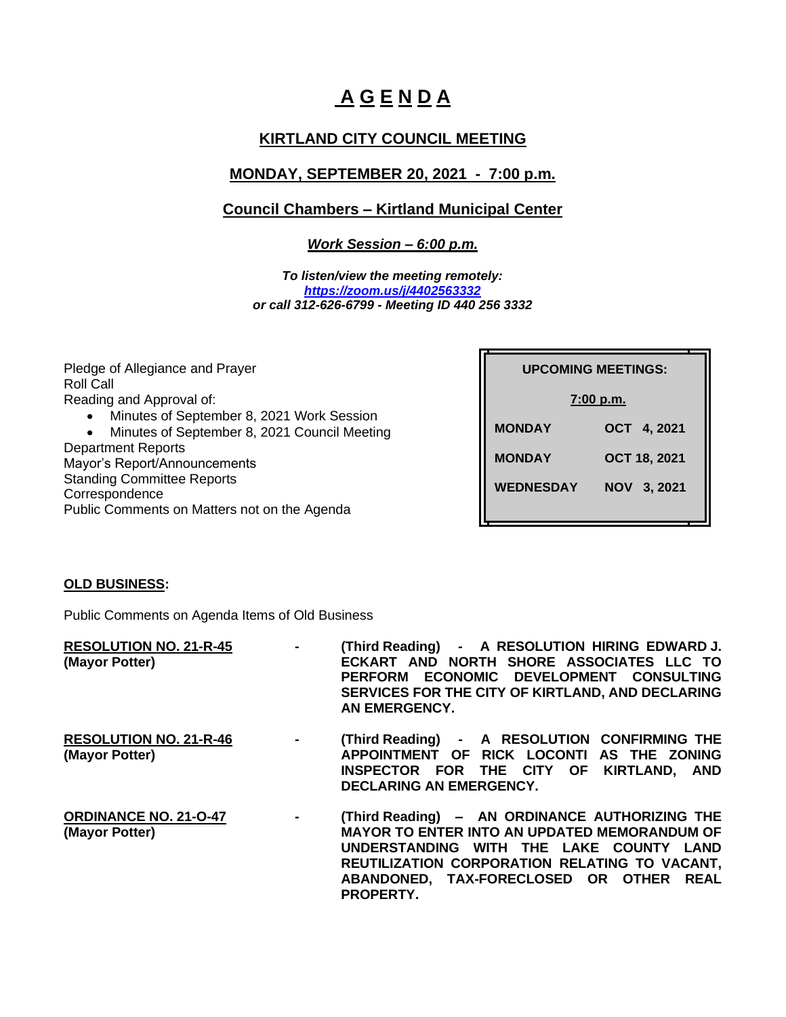# **A G E N D A**

# **KIRTLAND CITY COUNCIL MEETING**

# **MONDAY, SEPTEMBER 20, 2021 - 7:00 p.m.**

## **Council Chambers – Kirtland Municipal Center**

*Work Session – 6:00 p.m.*

*To listen/view the meeting remotely: <https://zoom.us/j/4402563332> or call 312-626-6799 - Meeting ID 440 256 3332*

Pledge of Allegiance and Prayer Roll Call Reading and Approval of: • Minutes of September 8, 2021 Work Session • Minutes of September 8, 2021 Council Meeting Department Reports Mayor's Report/Announcements Standing Committee Reports **Correspondence** Public Comments on Matters not on the Agenda

| <b>UPCOMING MEETINGS:</b> |                     |  |  |
|---------------------------|---------------------|--|--|
| 7:00 p.m.                 |                     |  |  |
| <b>MONDAY</b>             | OCT 4, 2021         |  |  |
| <b>MONDAY</b>             | <b>OCT 18, 2021</b> |  |  |
| WEDNESDAY                 | NOV 3, 2021         |  |  |
|                           |                     |  |  |

#### **OLD BUSINESS:**

Public Comments on Agenda Items of Old Business

| <b>RESOLUTION NO. 21-R-45</b><br>(Mayor Potter) | $\sim$              | (Third Reading) - A RESOLUTION HIRING EDWARD J.<br>ECKART AND NORTH SHORE ASSOCIATES LLC TO<br>ECONOMIC DEVELOPMENT CONSULTING<br><b>PERFORM</b><br>SERVICES FOR THE CITY OF KIRTLAND, AND DECLARING<br>AN EMERGENCY.                                     |
|-------------------------------------------------|---------------------|-----------------------------------------------------------------------------------------------------------------------------------------------------------------------------------------------------------------------------------------------------------|
| <b>RESOLUTION NO. 21-R-46</b><br>(Mayor Potter) | $\sim$              | (Third Reading) - A RESOLUTION CONFIRMING THE<br>APPOINTMENT OF RICK LOCONTI AS THE ZONING<br>INSPECTOR FOR THE CITY OF KIRTLAND, AND<br><b>DECLARING AN EMERGENCY.</b>                                                                                   |
| <b>ORDINANCE NO. 21-O-47</b><br>(Mayor Potter)  | $\mathbf{m} = 0.01$ | (Third Reading) - AN ORDINANCE AUTHORIZING THE<br><b>MAYOR TO ENTER INTO AN UPDATED MEMORANDUM OF</b><br>UNDERSTANDING WITH THE LAKE COUNTY LAND<br>REUTILIZATION CORPORATION RELATING TO VACANT,<br>ABANDONED, TAX-FORECLOSED OR OTHER REAL<br>PROPERTY. |